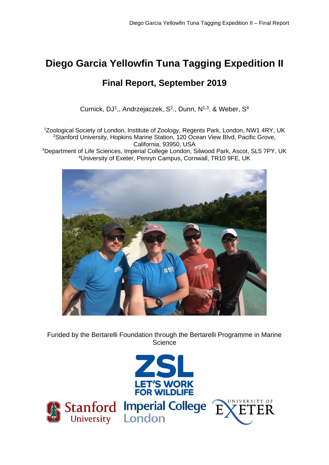# **Diego Garcia Yellowfin Tuna Tagging Expedition II**

## **Final Report, September 2019**

Curnick, DJ<sup>1</sup>., Andrzejaczek, S<sup>2</sup>., Dunn, N<sup>1,3</sup>. & Weber, S<sup>4</sup>

<sup>1</sup>Zoological Society of London, Institute of Zoology, Regents Park, London, NW1 4RY, UK <sup>2</sup>Stanford University, Hopkins Marine Station, 120 Ocean View Blvd, Pacific Grove, California, 93950, USA

<sup>3</sup>Department of Life Sciences, Imperial College London, Silwood Park, Ascot, SL5 7PY, UK <sup>4</sup>University of Exeter, Penryn Campus, Cornwall, TR10 9FE, UK



Funded by the Bertarelli Foundation through the Bertarelli Programme in Marine **Science** 

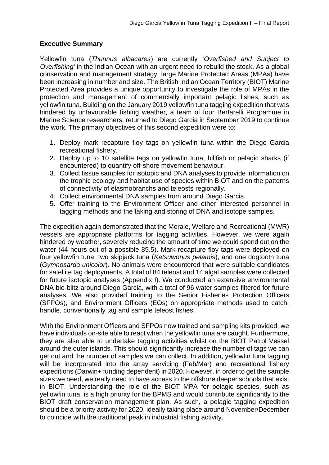## **Executive Summary**

Yellowfin tuna (*Thunnus albacares*) are currently '*Overfished and Subject to Overfishing'* in the Indian Ocean with an urgent need to rebuild the stock. As a global conservation and management strategy, large Marine Protected Areas (MPAs) have been increasing in number and size. The British Indian Ocean Territory (BIOT) Marine Protected Area provides a unique opportunity to investigate the role of MPAs in the protection and management of commercially important pelagic fishes, such as yellowfin tuna. Building on the January 2019 yellowfin tuna tagging expedition that was hindered by unfavourable fishing weather, a team of four Bertarelli Programme in Marine Science researchers, returned to Diego Garcia in September 2019 to continue the work. The primary objectives of this second expedition were to:

- 1. Deploy mark recapture floy tags on yellowfin tuna within the Diego Garcia recreational fishery.
- 2. Deploy up to 10 satellite tags on yellowfin tuna, billfish or pelagic sharks (if encountered) to quantify off-shore movement behaviour.
- 3. Collect tissue samples for isotopic and DNA analyses to provide information on the trophic ecology and habitat use of species within BIOT and on the patterns of connectivity of elasmobranchs and teleosts regionally.
- 4. Collect environmental DNA samples from around Diego Garcia.
- 5. Offer training to the Environment Officer and other interested personnel in tagging methods and the taking and storing of DNA and isotope samples.

The expedition again demonstrated that the Morale, Welfare and Recreational (MWR) vessels are appropriate platforms for tagging activities. However, we were again hindered by weather, severely reducing the amount of time we could spend out on the water (44 hours out of a possible 89.5). Mark recapture floy tags were deployed on four yellowfin tuna, two skipjack tuna (*Katsuwonus pelamis*), and one dogtooth tuna (*Gymnosarda unicolor*). No animals were encountered that were suitable candidates for satellite tag deployments. A total of 84 teleost and 14 algal samples were collected for future isotopic analyses (Appendix I). We conducted an extensive environmental DNA bio-blitz around Diego Garcia, with a total of 96 water samples filtered for future analyses. We also provided training to the Senior Fisheries Protection Officers (SFPOs), and Environment Officers (EOs) on appropriate methods used to catch, handle, conventionally tag and sample teleost fishes.

With the Environment Officers and SFPOs now trained and sampling kits provided, we have individuals on-site able to react when the yellowfin tuna are caught. Furthermore, they are also able to undertake tagging activities whilst on the BIOT Patrol Vessel around the outer islands. This should significantly increase the number of tags we can get out and the number of samples we can collect. In addition, yellowfin tuna tagging will be incorporated into the array servicing (Feb/Mar) and recreational fishery expeditions (Darwin+ funding dependent) in 2020. However, in order to get the sample sizes we need, we really need to have access to the offshore deeper schools that exist in BIOT. Understanding the role of the BIOT MPA for pelagic species, such as yellowfin tuna, is a high priority for the BPMS and would contribute significantly to the BIOT draft conservation management plan. As such, a pelagic tagging expedition should be a priority activity for 2020, ideally taking place around November/December to coincide with the traditional peak in industrial fishing activity.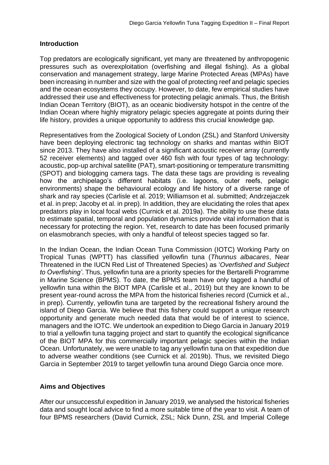## **Introduction**

Top predators are ecologically significant, yet many are threatened by anthropogenic pressures such as overexploitation (overfishing and illegal fishing). As a global conservation and management strategy, large Marine Protected Areas (MPAs) have been increasing in number and size with the goal of protecting reef and pelagic species and the ocean ecosystems they occupy. However, to date, few empirical studies have addressed their use and effectiveness for protecting pelagic animals. Thus, the British Indian Ocean Territory (BIOT), as an oceanic biodiversity hotspot in the centre of the Indian Ocean where highly migratory pelagic species aggregate at points during their life history, provides a unique opportunity to address this crucial knowledge gap.

Representatives from the Zoological Society of London (ZSL) and Stanford University have been deploying electronic tag technology on sharks and mantas within BIOT since 2013. They have also installed of a significant acoustic receiver array (currently 52 receiver elements) and tagged over 460 fish with four types of tag technology: acoustic, pop-up archival satellite (PAT), smart-positioning or temperature transmitting (SPOT) and biologging camera tags. The data these tags are providing is revealing how the archipelago's different habitats (i.e. lagoons, outer reefs, pelagic environments) shape the behavioural ecology and life history of a diverse range of shark and ray species (Carlisle et al. 2019; Williamson et al. submitted; Andrzejaczek et al. in prep; Jacoby et al. in prep). In addition, they are elucidating the roles that apex predators play in local focal webs (Curnick et al. 2019a). The ability to use these data to estimate spatial, temporal and population dynamics provide vital information that is necessary for protecting the region. Yet, research to date has been focused primarily on elasmobranch species, with only a handful of teleost species tagged so far.

In the Indian Ocean, the Indian Ocean Tuna Commission (IOTC) Working Party on Tropical Tunas (WPTT) has classified yellowfin tuna (*Thunnus albacares*, Near Threatened in the IUCN Red List of Threatened Species) as '*Overfished and Subject to Overfishing'*. Thus, yellowfin tuna are a priority species for the Bertarelli Programme in Marine Science (BPMS). To date, the BPMS team have only tagged a handful of yellowfin tuna within the BIOT MPA (Carlisle et al., 2019) but they are known to be present year-round across the MPA from the historical fisheries record (Curnick et al., in prep). Currently, yellowfin tuna are targeted by the recreational fishery around the island of Diego Garcia. We believe that this fishery could support a unique research opportunity and generate much needed data that would be of interest to science, managers and the IOTC. We undertook an expedition to Diego Garcia in January 2019 to trial a yellowfin tuna tagging project and start to quantify the ecological significance of the BIOT MPA for this commercially important pelagic species within the Indian Ocean. Unfortunately, we were unable to tag any yellowfin tuna on that expedition due to adverse weather conditions (see Curnick et al. 2019b). Thus, we revisited Diego Garcia in September 2019 to target yellowfin tuna around Diego Garcia once more.

## **Aims and Objectives**

After our unsuccessful expedition in January 2019, we analysed the historical fisheries data and sought local advice to find a more suitable time of the year to visit. A team of four BPMS researchers (David Curnick, ZSL; Nick Dunn, ZSL and Imperial College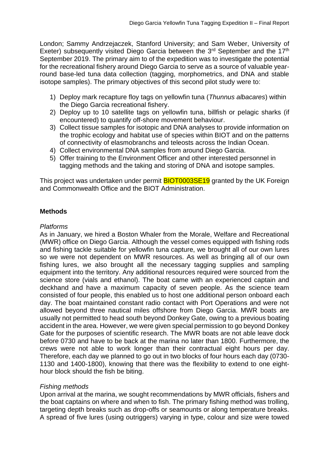London; Sammy Andrzejaczek, Stanford University; and Sam Weber, University of Exeter) subsequently visited Diego Garcia between the 3<sup>rd</sup> September and the 17<sup>th</sup> September 2019. The primary aim to of the expedition was to investigate the potential for the recreational fishery around Diego Garcia to serve as a source of valuable yearround base-led tuna data collection (tagging, morphometrics, and DNA and stable isotope samples). The primary objectives of this second pilot study were to:

- 1) Deploy mark recapture floy tags on yellowfin tuna (*Thunnus albacares*) within the Diego Garcia recreational fishery.
- 2) Deploy up to 10 satellite tags on yellowfin tuna, billfish or pelagic sharks (if encountered) to quantify off-shore movement behaviour.
- 3) Collect tissue samples for isotopic and DNA analyses to provide information on the trophic ecology and habitat use of species within BIOT and on the patterns of connectivity of elasmobranchs and teleosts across the Indian Ocean.
- 4) Collect environmental DNA samples from around Diego Garcia.
- 5) Offer training to the Environment Officer and other interested personnel in tagging methods and the taking and storing of DNA and isotope samples.

This project was undertaken under permit **BIOT0003SE19** granted by the UK Foreign and Commonwealth Office and the BIOT Administration.

## **Methods**

#### *Platforms*

As in January, we hired a Boston Whaler from the Morale, Welfare and Recreational (MWR) office on Diego Garcia. Although the vessel comes equipped with fishing rods and fishing tackle suitable for yellowfin tuna capture, we brought all of our own lures so we were not dependent on MWR resources. As well as bringing all of our own fishing lures, we also brought all the necessary tagging supplies and sampling equipment into the territory. Any additional resources required were sourced from the science store (vials and ethanol). The boat came with an experienced captain and deckhand and have a maximum capacity of seven people. As the science team consisted of four people, this enabled us to host one additional person onboard each day. The boat maintained constant radio contact with Port Operations and were not allowed beyond three nautical miles offshore from Diego Garcia. MWR boats are usually not permitted to head south beyond Donkey Gate, owing to a previous boating accident in the area. However, we were given special permission to go beyond Donkey Gate for the purposes of scientific research. The MWR boats are not able leave dock before 0730 and have to be back at the marina no later than 1800. Furthermore, the crews were not able to work longer than their contractual eight hours per day. Therefore, each day we planned to go out in two blocks of four hours each day (0730- 1130 and 1400-1800), knowing that there was the flexibility to extend to one eighthour block should the fish be biting.

#### *Fishing methods*

Upon arrival at the marina, we sought recommendations by MWR officials, fishers and the boat captains on where and when to fish. The primary fishing method was trolling, targeting depth breaks such as drop-offs or seamounts or along temperature breaks. A spread of five lures (using outriggers) varying in type, colour and size were towed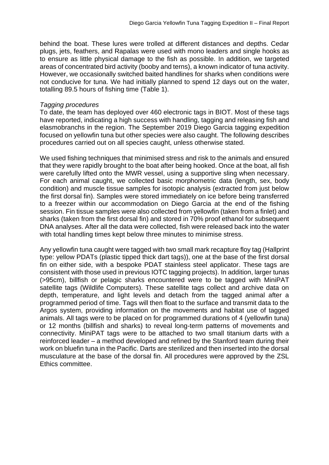behind the boat. These lures were trolled at different distances and depths. Cedar plugs, jets, feathers, and Rapalas were used with mono leaders and single hooks as to ensure as little physical damage to the fish as possible. In addition, we targeted areas of concentrated bird activity (booby and terns), a known indicator of tuna activity. However, we occasionally switched baited handlines for sharks when conditions were not conducive for tuna. We had initially planned to spend 12 days out on the water, totalling 89.5 hours of fishing time (Table 1).

#### *Tagging procedures*

To date, the team has deployed over 460 electronic tags in BIOT. Most of these tags have reported, indicating a high success with handling, tagging and releasing fish and elasmobranchs in the region. The September 2019 Diego Garcia tagging expedition focused on yellowfin tuna but other species were also caught. The following describes procedures carried out on all species caught, unless otherwise stated.

We used fishing techniques that minimised stress and risk to the animals and ensured that they were rapidly brought to the boat after being hooked. Once at the boat, all fish were carefully lifted onto the MWR vessel, using a supportive sling when necessary. For each animal caught, we collected basic morphometric data (length, sex, body condition) and muscle tissue samples for isotopic analysis (extracted from just below the first dorsal fin). Samples were stored immediately on ice before being transferred to a freezer within our accommodation on Diego Garcia at the end of the fishing session. Fin tissue samples were also collected from yellowfin (taken from a finlet) and sharks (taken from the first dorsal fin) and stored in 70% proof ethanol for subsequent DNA analyses. After all the data were collected, fish were released back into the water with total handling times kept below three minutes to minimise stress.

Any yellowfin tuna caught were tagged with two small mark recapture floy tag (Hallprint type: yellow PDATs (plastic tipped thick dart tags)), one at the base of the first dorsal fin on either side, with a bespoke PDAT stainless steel applicator. These tags are consistent with those used in previous IOTC tagging projects). In addition, larger tunas (>95cm), billfish or pelagic sharks encountered were to be tagged with MiniPAT satellite tags (Wildlife Computers). These satellite tags collect and archive data on depth, temperature, and light levels and detach from the tagged animal after a programmed period of time. Tags will then float to the surface and transmit data to the Argos system, providing information on the movements and habitat use of tagged animals. All tags were to be placed on for programmed durations of 4 (yellowfin tuna) or 12 months (billfish and sharks) to reveal long-term patterns of movements and connectivity. MiniPAT tags were to be attached to two small titanium darts with a reinforced leader – a method developed and refined by the Stanford team during their work on bluefin tuna in the Pacific. Darts are sterilized and then inserted into the dorsal musculature at the base of the dorsal fin. All procedures were approved by the ZSL Ethics committee.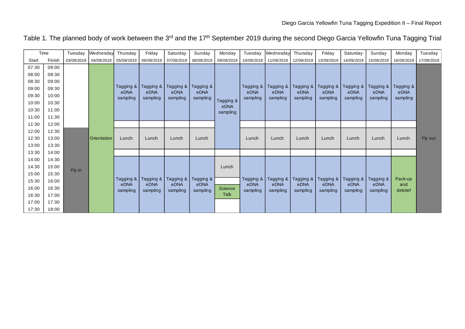#### Table 1. The planned body of work between the 3<sup>rd</sup> and the 17<sup>th</sup> September 2019 during the second Diego Garcia Yellowfin Tuna Tagging Trial

|       | Time   | Tuesday | Wednesday                               | Thursday         | Friday           | Saturday         | Sunday           | Monday                 | Tuesday          | Wednesday        | Thursday         | Friday           | Saturday         | Sunday           | Monday           | Tuesday    |  |
|-------|--------|---------|-----------------------------------------|------------------|------------------|------------------|------------------|------------------------|------------------|------------------|------------------|------------------|------------------|------------------|------------------|------------|--|
| Start | Finish |         | 03/09/2019 04/09/2019                   | 05/09/2019       | 06/09/2019       | 07/09/2019       | 08/09/2019       | 09/09/2019             | 10/09/2019       | 11/09/2019       | 12/09/2019       | 13/09/2019       | 14/09/2019       | 15/09/2019       | 16/09/2019       | 17/09/2019 |  |
| 07:30 | 08:00  |         |                                         |                  |                  |                  |                  |                        |                  |                  |                  |                  |                  |                  |                  |            |  |
| 08:00 | 08:30  |         |                                         |                  |                  |                  |                  |                        |                  |                  |                  |                  |                  |                  |                  |            |  |
| 08:30 | 09:00  |         |                                         |                  |                  |                  |                  |                        |                  |                  |                  |                  |                  |                  |                  |            |  |
| 09:00 | 09:30  |         | Tagging &  <br>Tagging &  <br>Tagging & | Tagging &        |                  | Tagging &        |                  | Tagging &<br>Tagging & | Tagging &        | Tagging &        | Tagging &        | Tagging &        |                  |                  |                  |            |  |
| 09:30 | 10:00  |         |                                         | eDNA<br>sampling | eDNA<br>sampling | eDNA<br>sampling | eDNA<br>sampling |                        | eDNA<br>sampling | eDNA<br>sampling | eDNA<br>sampling | eDNA<br>sampling | eDNA<br>sampling | eDNA<br>sampling | eDNA<br>sampling |            |  |
| 10:00 | 10:30  |         |                                         |                  |                  |                  |                  | Tagging &              |                  |                  |                  |                  |                  |                  |                  |            |  |
| 10:30 | 11:00  |         |                                         |                  |                  |                  |                  | eDNA<br>sampling       |                  |                  |                  |                  |                  |                  |                  |            |  |
| 11:00 | 11:30  |         |                                         |                  |                  |                  |                  |                        |                  |                  |                  |                  |                  |                  |                  |            |  |
| 11:30 | 12:00  |         |                                         |                  |                  |                  |                  |                        |                  |                  |                  |                  |                  |                  |                  |            |  |
| 12:00 | 12:30  |         |                                         |                  |                  |                  |                  |                        |                  |                  |                  |                  |                  |                  |                  |            |  |
| 12:30 | 13:00  |         | Orientation                             | Lunch            | Lunch            | Lunch            | Lunch            |                        | Lunch            | Lunch            | Lunch            | Lunch            | Lunch            | Lunch            | Lunch            | Fly out    |  |
| 13:00 | 13:30  |         |                                         |                  |                  |                  |                  |                        |                  |                  |                  |                  |                  |                  |                  |            |  |
| 13:30 | 14:00  |         |                                         |                  |                  |                  |                  |                        |                  |                  |                  |                  |                  |                  |                  |            |  |
| 14:00 | 14:30  |         |                                         |                  |                  |                  |                  |                        |                  |                  |                  |                  |                  |                  |                  |            |  |
| 14:30 | 15:00  |         |                                         |                  |                  |                  |                  | Lunch                  |                  |                  |                  |                  |                  |                  |                  |            |  |
| 15:00 | 15:30  | Fly In  |                                         |                  |                  |                  |                  |                        |                  |                  |                  |                  |                  |                  |                  |            |  |
| 15:30 | 16:00  |         |                                         | Tagging &        | Tagging &        | Tagging &        | Tagging &        |                        | Tagging &        | Tagging &        | Tagging &        | Tagging &        | Tagging &        | Tagging &        | Pack-up          |            |  |
| 16:00 | 16:30  |         |                                         | eDNA             | eDNA             | eDNA             | eDNA             | Science                | eDNA             | eDNA             | eDNA             | eDNA             | eDNA             | eDNA             | and<br>debrief   |            |  |
| 16:30 | 17:00  |         |                                         |                  |                  | sampling         | sampling         | sampling               | sampling         | Talk             | sampling         | sampling         | sampling         | sampling         | sampling         | sampling   |  |
| 17:00 | 17:30  |         |                                         |                  |                  |                  |                  |                        |                  |                  |                  |                  |                  |                  |                  |            |  |
| 17:30 | 18:00  |         |                                         |                  |                  |                  |                  |                        |                  |                  |                  |                  |                  |                  |                  |            |  |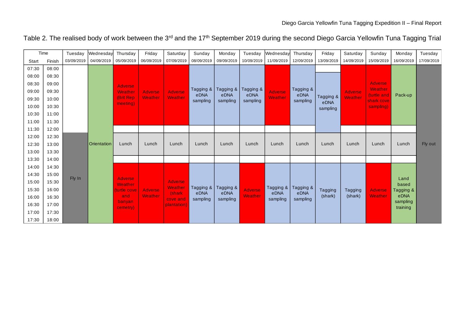|  | Table 2. The realised body of work between the 3 <sup>rd</sup> and the 17 <sup>th</sup> September 2019 during the second Diego Garcia Yellowfin Tuna Tagging Trial |  |
|--|--------------------------------------------------------------------------------------------------------------------------------------------------------------------|--|
|  |                                                                                                                                                                    |  |

|       | Time   | Tuesday    | Wednesday   | Thursday                  | Friday         | Saturday           | Sunday            | Monday           | Tuesday          | Wednesday        | Thursday          | Friday           | Saturday        | Sunday                     | Monday               | Tuesday    |
|-------|--------|------------|-------------|---------------------------|----------------|--------------------|-------------------|------------------|------------------|------------------|-------------------|------------------|-----------------|----------------------------|----------------------|------------|
| Start | Finish | 03/09/2019 | 04/09/2019  | 05/09/2019                | 06/09/2019     | 07/09/2019         | 08/09/2019        | 09/09/2019       | 10/09/2019       | 11/09/2019       | 12/09/2019        | 13/09/2019       | 14/09/2019      | 15/09/2019                 | 16/09/2019           | 17/09/2019 |
| 07:30 | 08:00  |            |             |                           |                |                    |                   |                  |                  |                  |                   |                  |                 |                            |                      |            |
| 08:00 | 08:30  |            |             |                           |                |                    |                   |                  |                  |                  |                   |                  |                 |                            |                      |            |
| 08:30 | 09:00  |            |             | Adverser                  |                |                    |                   |                  |                  |                  |                   |                  |                 | <b>Adverse</b>             |                      |            |
| 09:00 | 09:30  |            |             | Weather                   | <b>Adverse</b> | <b>Adverse</b>     | Tagging &         | Tagging &        | Tagging &        | <b>Adverse</b>   | Tagging &         |                  | <b>Adverser</b> | Weather                    |                      |            |
| 09:30 | 10:00  |            |             | (Brit Rep                 | Weather        | Weather            | eDNA<br>sampling  | eDNA<br>sampling | eDNA<br>sampling | Weather          | eDNA<br>sampling  | Tagging &        | Weather         | (turtle and<br>shark cove, | Pack-up              |            |
| 10:00 | 10:30  |            |             | meeting)                  |                |                    |                   |                  |                  |                  |                   | eDNA<br>sampling |                 | sampling)                  |                      |            |
| 10:30 | 11:00  |            |             |                           |                |                    |                   |                  |                  |                  |                   |                  |                 |                            |                      |            |
| 11:00 | 11:30  |            |             |                           |                |                    |                   |                  |                  |                  |                   |                  |                 |                            |                      |            |
| 11:30 | 12:00  |            |             |                           |                |                    |                   |                  |                  |                  |                   |                  |                 |                            |                      |            |
| 12:00 | 12:30  |            |             |                           |                |                    |                   |                  |                  |                  |                   |                  |                 |                            |                      |            |
| 12:30 | 13:00  |            | Orientation | Lunch                     | Lunch          | Lunch              | Lunch             | Lunch            | Lunch            | Lunch            | Lunch             | Lunch            | Lunch           | Lunch                      | Lunch                | Fly out    |
| 13:00 | 13:30  |            |             |                           |                |                    |                   |                  |                  |                  |                   |                  |                 |                            |                      |            |
| 13:30 | 14:00  |            |             |                           |                |                    |                   |                  |                  |                  |                   |                  |                 |                            |                      |            |
| 14:00 | 14:30  |            |             |                           |                |                    |                   |                  |                  |                  |                   |                  |                 |                            |                      |            |
| 14:30 | 15:00  |            |             |                           |                |                    |                   |                  |                  |                  |                   |                  |                 |                            |                      |            |
| 15:00 | 15:30  | Fly In     |             | <b>Adverse</b><br>Weather |                | <b>Adverse</b>     |                   |                  |                  |                  |                   |                  |                 |                            | Land<br>based        |            |
| 15:30 | 16:00  |            |             | turtle cove               | Adverse        | Weather            | Tagging &<br>eDNA | Tagging &        | <b>Adverse</b>   | Tagging &        | Tagging &<br>eDNA | <b>Tagging</b>   | Tagging         | <b>Adverse</b>             | Tagging &            |            |
| 16:00 | 16:30  |            |             | and                       | Weather        | (shark<br>cove and | sampling          | eDNA<br>sampling | Weather          | eDNA<br>sampling | sampling          | (shark)          | (shark)         | <b>Weather</b>             | eDNA                 |            |
| 16:30 | 17:00  |            |             | banyan<br>cemetry)        |                | plantation)        |                   |                  |                  |                  |                   |                  |                 |                            | sampling<br>training |            |
| 17:00 | 17:30  |            |             |                           |                |                    |                   |                  |                  |                  |                   |                  |                 |                            |                      |            |
| 17:30 | 18:00  |            |             |                           |                |                    |                   |                  |                  |                  |                   |                  |                 |                            |                      |            |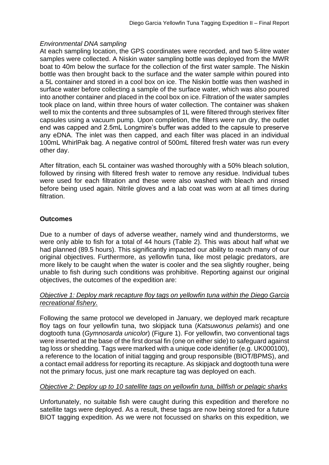## *Environmental DNA sampling*

At each sampling location, the GPS coordinates were recorded, and two 5-litre water samples were collected. A Niskin water sampling bottle was deployed from the MWR boat to 40m below the surface for the collection of the first water sample. The Niskin bottle was then brought back to the surface and the water sample within poured into a 5L container and stored in a cool box on ice. The Niskin bottle was then washed in surface water before collecting a sample of the surface water, which was also poured into another container and placed in the cool box on ice. Filtration of the water samples took place on land, within three hours of water collection. The container was shaken well to mix the contents and three subsamples of 1L were filtered through sterivex filter capsules using a vacuum pump. Upon completion, the filters were run dry, the outlet end was capped and 2.5mL Longmire's buffer was added to the capsule to preserve any eDNA. The inlet was then capped, and each filter was placed in an individual 100mL WhirlPak bag. A negative control of 500mL filtered fresh water was run every other day.

After filtration, each 5L container was washed thoroughly with a 50% bleach solution, followed by rinsing with filtered fresh water to remove any residue. Individual tubes were used for each filtration and these were also washed with bleach and rinsed before being used again. Nitrile gloves and a lab coat was worn at all times during filtration.

## **Outcomes**

Due to a number of days of adverse weather, namely wind and thunderstorms, we were only able to fish for a total of 44 hours (Table 2). This was about half what we had planned (89.5 hours). This significantly impacted our ability to reach many of our original objectives. Furthermore, as yellowfin tuna, like most pelagic predators, are more likely to be caught when the water is cooler and the sea slightly rougher, being unable to fish during such conditions was prohibitive. Reporting against our original objectives, the outcomes of the expedition are:

## *Objective 1: Deploy mark recapture floy tags on yellowfin tuna within the Diego Garcia recreational fishery.*

Following the same protocol we developed in January, we deployed mark recapture floy tags on four yellowfin tuna, two skipjack tuna (*Katsuwonus pelamis*) and one dogtooth tuna (*Gymnosarda unicolor*) (Figure 1). For yellowfin, two conventional tags were inserted at the base of the first dorsal fin (one on either side) to safeguard against tag loss or shedding. Tags were marked with a unique code identifier (e.g. UK000100), a reference to the location of initial tagging and group responsible (BIOT/BPMS), and a contact email address for reporting its recapture. As skipjack and dogtooth tuna were not the primary focus, just one mark recapture tag was deployed on each.

## *Objective 2: Deploy up to 10 satellite tags on yellowfin tuna, billfish or pelagic sharks*

Unfortunately, no suitable fish were caught during this expedition and therefore no satellite tags were deployed. As a result, these tags are now being stored for a future BIOT tagging expedition. As we were not focussed on sharks on this expedition, we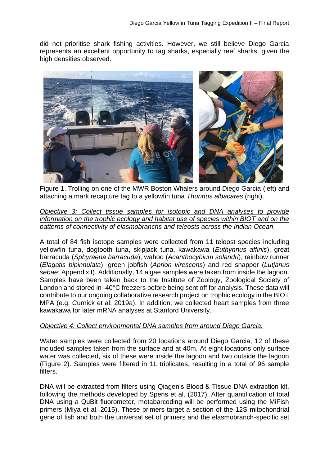did not prioritise shark fishing activities. However, we still believe Diego Garcia represents an excellent opportunity to tag sharks, especially reef sharks, given the high densities observed.



Figure 1. Trolling on one of the MWR Boston Whalers around Diego Garcia (left) and attaching a mark recapture tag to a yellowfin tuna *Thunnus albacares* (right).

*Objective 3: Collect tissue samples for isotopic and DNA analyses to provide information on the trophic ecology and habitat use of species within BIOT and on the patterns of connectivity of elasmobranchs and teleosts across the Indian Ocean.* 

A total of 84 fish isotope samples were collected from 11 teleost species including yellowfin tuna, dogtooth tuna, skipjack tuna, kawakawa (*Euthynnus affinis*), great barracuda (*Sphyraena barracuda*), wahoo (*Acanthocybium solandri*), rainbow runner (*Elagatis bipinnulata*), green jobfish (*Aprion virescens*) and red snapper (*Lutjanus sebae*; Appendix I). Additionally, 14 algae samples were taken from inside the lagoon. Samples have been taken back to the Institute of Zoology, Zoological Society of London and stored in -40°C freezers before being sent off for analysis. These data will contribute to our ongoing collaborative research project on trophic ecology in the BIOT MPA (e.g. Curnick et al. 2019a). In addition, we collected heart samples from three kawakawa for later mRNA analyses at Stanford University.

#### *Objective 4: Collect environmental DNA samples from around Diego Garcia.*

Water samples were collected from 20 locations around Diego Garcia, 12 of these included samples taken from the surface and at 40m. At eight locations only surface water was collected, six of these were inside the lagoon and two outside the lagoon (Figure 2). Samples were filtered in 1L triplicates, resulting in a total of 96 sample filters.

DNA will be extracted from filters using Qiagen's Blood & Tissue DNA extraction kit, following the methods developed by Spens et al. (2017). After quantification of total DNA using a QuBit fluorometer, metabarcoding will be performed using the MiFish primers (Miya et al. 2015). These primers target a section of the 12S mitochondrial gene of fish and both the universal set of primers and the elasmobranch-specific set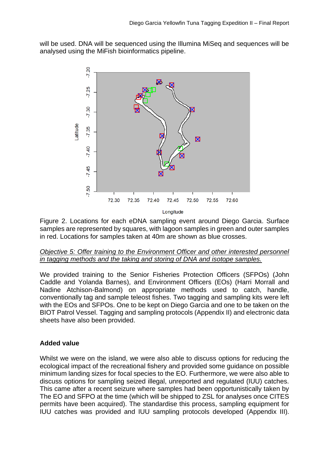will be used. DNA will be sequenced using the Illumina MiSeq and sequences will be analysed using the MiFish bioinformatics pipeline.



Figure 2. Locations for each eDNA sampling event around Diego Garcia. Surface samples are represented by squares, with lagoon samples in green and outer samples in red. Locations for samples taken at 40m are shown as blue crosses.

## *Objective 5: Offer training to the Environment Officer and other interested personnel in tagging methods and the taking and storing of DNA and isotope samples.*

We provided training to the Senior Fisheries Protection Officers (SFPOs) (John Caddle and Yolanda Barnes), and Environment Officers (EOs) (Harri Morrall and Nadine Atchison-Balmond) on appropriate methods used to catch, handle, conventionally tag and sample teleost fishes. Two tagging and sampling kits were left with the EOs and SFPOs. One to be kept on Diego Garcia and one to be taken on the BIOT Patrol Vessel. Tagging and sampling protocols (Appendix II) and electronic data sheets have also been provided.

## **Added value**

Whilst we were on the island, we were also able to discuss options for reducing the ecological impact of the recreational fishery and provided some guidance on possible minimum landing sizes for focal species to the EO. Furthermore, we were also able to discuss options for sampling seized illegal, unreported and regulated (IUU) catches. This came after a recent seizure where samples had been opportunistically taken by The EO and SFPO at the time (which will be shipped to ZSL for analyses once CITES permits have been acquired). The standardise this process, sampling equipment for IUU catches was provided and IUU sampling protocols developed (Appendix III).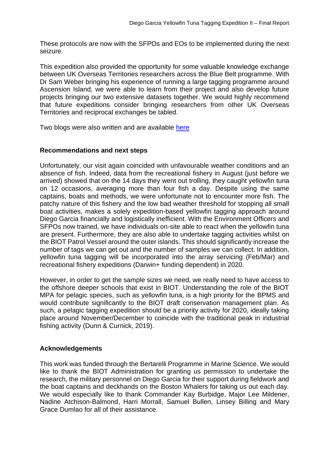These protocols are now with the SFPOs and EOs to be implemented during the next seizure.

This expedition also provided the opportunity for some valuable knowledge exchange between UK Overseas Territories researchers across the Blue Belt programme. With Dr Sam Weber bringing his experience of running a large tagging programme around Ascension Island, we were able to learn from their project and also develop future projects bringing our two extensive datasets together. We would highly recommend that future expeditions consider bringing researchers from other UK Overseas Territories and reciprocal exchanges be tabled.

Two blogs were also written and are available [here](https://www.zsl.org/blogs/chagos-expedition)

## **Recommendations and next steps**

Unfortunately, our visit again coincided with unfavourable weather conditions and an absence of fish. Indeed, data from the recreational fishery in August (just before we arrived) showed that on the 14 days they went out trolling, they caught yellowfin tuna on 12 occasions, averaging more than four fish a day. Despite using the same captains, boats and methods, we were unfortunate not to encounter more fish. The patchy nature of this fishery and the low bad weather threshold for stopping all small boat activities, makes a solely expedition-based yellowfin tagging approach around Diego Garcia financially and logistically inefficient. With the Environment Officers and SFPOs now trained, we have individuals on-site able to react when the yellowfin tuna are present. Furthermore, they are also able to undertake tagging activities whilst on the BIOT Patrol Vessel around the outer islands. This should significantly increase the number of tags we can get out and the number of samples we can collect. In addition, yellowfin tuna tagging will be incorporated into the array servicing (Feb/Mar) and recreational fishery expeditions (Darwin+ funding dependent) in 2020.

However, in order to get the sample sizes we need, we really need to have access to the offshore deeper schools that exist in BIOT. Understanding the role of the BIOT MPA for pelagic species, such as yellowfin tuna, is a high priority for the BPMS and would contribute significantly to the BIOT draft conservation management plan. As such, a pelagic tagging expedition should be a priority activity for 2020, ideally taking place around November/December to coincide with the traditional peak in industrial fishing activity (Dunn & Curnick, 2019).

## **Acknowledgements**

This work was funded through the Bertarelli Programme in Marine Science. We would like to thank the BIOT Administration for granting us permission to undertake the research, the military personnel on Diego Garcia for their support during fieldwork and the boat captains and deckhands on the Boston Whalers for taking us out each day. We would especially like to thank Commander Kay Burbidge, Major Lee Mildener, Nadine Atchison-Balmond, Harri Morrall, Samuel Bullen, Linsey Billing and Mary Grace Dumlao for all of their assistance.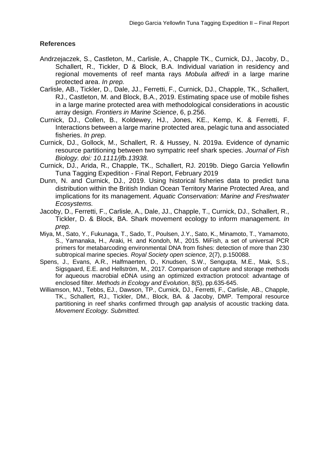## **References**

- Andrzejaczek, S., Castleton, M., Carlisle, A., Chapple TK., Curnick, DJ., Jacoby, D., Schallert, R., Tickler, D & Block, B.A. Individual variation in residency and regional movements of reef manta rays *Mobula alfredi* in a large marine protected area. *In prep.*
- Carlisle, AB., Tickler, D., Dale, JJ., Ferretti, F., Curnick, DJ., Chapple, TK., Schallert, RJ., Castleton, M. and Block, B.A., 2019. Estimating space use of mobile fishes in a large marine protected area with methodological considerations in acoustic array design. *Frontiers in Marine Science*, 6, p.256.
- Curnick, DJ., Collen, B., Koldewey, HJ., Jones, KE., Kemp, K. & Ferretti, F. Interactions between a large marine protected area, pelagic tuna and associated fisheries. *In prep.*
- Curnick, DJ., Gollock, M., Schallert, R. & Hussey, N. 2019a. Evidence of dynamic resource partitioning between two sympatric reef shark species. *Journal of Fish Biology. doi: 10.1111/jfb.13938.*
- Curnick, DJ., Arida, R., Chapple, TK., Schallert, RJ. 2019b. Diego Garcia Yellowfin Tuna Tagging Expedition - Final Report, February 2019
- Dunn, N. and Curnick, DJ., 2019. Using historical fisheries data to predict tuna distribution within the British Indian Ocean Territory Marine Protected Area, and implications for its management. *Aquatic Conservation: Marine and Freshwater Ecosystems.*
- Jacoby, D., Ferretti, F., Carlisle, A., Dale, JJ., Chapple, T., Curnick, DJ., Schallert, R., Tickler, D. & Block, BA. Shark movement ecology to inform management. *In prep.*
- Miya, M., Sato, Y., Fukunaga, T., Sado, T., Poulsen, J.Y., Sato, K., Minamoto, T., Yamamoto, S., Yamanaka, H., Araki, H. and Kondoh, M., 2015. MiFish, a set of universal PCR primers for metabarcoding environmental DNA from fishes: detection of more than 230 subtropical marine species. *Royal Society open science*, 2(7), p.150088.
- Spens, J., Evans, A.R., Halfmaerten, D., Knudsen, S.W., Sengupta, M.E., Mak, S.S., Sigsgaard, E.E. and Hellström, M., 2017. Comparison of capture and storage methods for aqueous macrobial eDNA using an optimized extraction protocol: advantage of enclosed filter. *Methods in Ecology and Evolution*, 8(5), pp.635-645.
- Williamson, MJ., Tebbs, EJ., Dawson, TP., Curnick, DJ., Ferretti, F., Carlisle, AB., Chapple, TK., Schallert, RJ., Tickler, DM., Block, BA. & Jacoby, DMP. Temporal resource partitioning in reef sharks confirmed through gap analysis of acoustic tracking data. *Movement Ecology. Submitted.*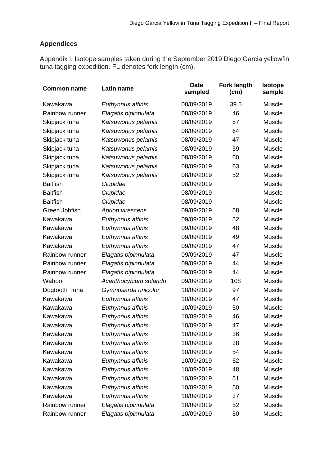## **Appendices**

Appendix I. Isotope samples taken during the September 2019 Diego Garcia yellowfin tuna tagging expedition. FL denotes fork length (cm).

| <b>Common name</b> | Latin name             | <b>Date</b><br>sampled | <b>Fork length</b><br>(cm) | <b>Isotope</b><br>sample |
|--------------------|------------------------|------------------------|----------------------------|--------------------------|
| Kawakawa           | Euthynnus affinis      | 08/09/2019             | 39.5                       | Muscle                   |
| Rainbow runner     | Elagatis bipinnulata   | 08/09/2019             | 46                         | Muscle                   |
| Skipjack tuna      | Katsuwonus pelamis     | 08/09/2019             | 57                         | Muscle                   |
| Skipjack tuna      | Katsuwonus pelamis     | 08/09/2019             | 64                         | Muscle                   |
| Skipjack tuna      | Katsuwonus pelamis     | 08/09/2019             | 47                         | Muscle                   |
| Skipjack tuna      | Katsuwonus pelamis     | 08/09/2019             | 59                         | Muscle                   |
| Skipjack tuna      | Katsuwonus pelamis     | 08/09/2019             | 60                         | Muscle                   |
| Skipjack tuna      | Katsuwonus pelamis     | 08/09/2019             | 63                         | Muscle                   |
| Skipjack tuna      | Katsuwonus pelamis     | 08/09/2019             | 52                         | Muscle                   |
| <b>Baitfish</b>    | Clupidae               | 08/09/2019             |                            | Muscle                   |
| <b>Baitfish</b>    | Clupidae               | 08/09/2019             |                            | Muscle                   |
| <b>Baitfish</b>    | Clupidae               | 08/09/2019             |                            | Muscle                   |
| Green Jobfish      | Aprion virescens       | 09/09/2019             | 58                         | Muscle                   |
| Kawakawa           | Euthynnus affinis      | 09/09/2019             | 52                         | Muscle                   |
| Kawakawa           | Euthynnus affinis      | 09/09/2019             | 48                         | Muscle                   |
| Kawakawa           | Euthynnus affinis      | 09/09/2019             | 49                         | Muscle                   |
| Kawakawa           | Euthynnus affinis      | 09/09/2019             | 47                         | Muscle                   |
| Rainbow runner     | Elagatis bipinnulata   | 09/09/2019             | 47                         | Muscle                   |
| Rainbow runner     | Elagatis bipinnulata   | 09/09/2019             | 44                         | Muscle                   |
| Rainbow runner     | Elagatis bipinnulata   | 09/09/2019             | 44                         | Muscle                   |
| Wahoo              | Acanthocybium solandri | 09/09/2019             | 108                        | Muscle                   |
| Dogtooth Tuna      | Gymnosarda unicolor    | 10/09/2019             | 97                         | Muscle                   |
| Kawakawa           | Euthynnus affinis      | 10/09/2019             | 47                         | Muscle                   |
| Kawakawa           | Euthynnus affinis      | 10/09/2019             | 50                         | Muscle                   |
| Kawakawa           | Euthynnus affinis      | 10/09/2019             | 46                         | Muscle                   |
| Kawakawa           | Euthynnus affinis      | 10/09/2019             | 47                         | Muscle                   |
| Kawakawa           | Euthynnus affinis      | 10/09/2019             | 36                         | Muscle                   |
| Kawakawa           | Euthynnus affinis      | 10/09/2019             | 38                         | Muscle                   |
| Kawakawa           | Euthynnus affinis      | 10/09/2019             | 54                         | Muscle                   |
| Kawakawa           | Euthynnus affinis      | 10/09/2019             | 52                         | Muscle                   |
| Kawakawa           | Euthynnus affinis      | 10/09/2019             | 48                         | Muscle                   |
| Kawakawa           | Euthynnus affinis      | 10/09/2019             | 51                         | Muscle                   |
| Kawakawa           | Euthynnus affinis      | 10/09/2019             | 50                         | Muscle                   |
| Kawakawa           | Euthynnus affinis      | 10/09/2019             | 37                         | Muscle                   |
| Rainbow runner     | Elagatis bipinnulata   | 10/09/2019             | 52                         | Muscle                   |
| Rainbow runner     | Elagatis bipinnulata   | 10/09/2019             | 50                         | Muscle                   |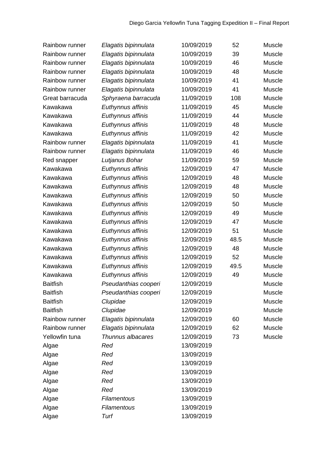| Rainbow runner  | Elagatis bipinnulata | 10/09/2019 | 52   | Muscle |
|-----------------|----------------------|------------|------|--------|
| Rainbow runner  | Elagatis bipinnulata | 10/09/2019 | 39   | Muscle |
| Rainbow runner  | Elagatis bipinnulata | 10/09/2019 | 46   | Muscle |
| Rainbow runner  | Elagatis bipinnulata | 10/09/2019 | 48   | Muscle |
| Rainbow runner  | Elagatis bipinnulata | 10/09/2019 | 41   | Muscle |
| Rainbow runner  | Elagatis bipinnulata | 10/09/2019 | 41   | Muscle |
| Great barracuda | Sphyraena barracuda  | 11/09/2019 | 108  | Muscle |
| Kawakawa        | Euthynnus affinis    | 11/09/2019 | 45   | Muscle |
| Kawakawa        | Euthynnus affinis    | 11/09/2019 | 44   | Muscle |
| Kawakawa        | Euthynnus affinis    | 11/09/2019 | 48   | Muscle |
| Kawakawa        | Euthynnus affinis    | 11/09/2019 | 42   | Muscle |
| Rainbow runner  | Elagatis bipinnulata | 11/09/2019 | 41   | Muscle |
| Rainbow runner  | Elagatis bipinnulata | 11/09/2019 | 46   | Muscle |
| Red snapper     | Lutjanus Bohar       | 11/09/2019 | 59   | Muscle |
| Kawakawa        | Euthynnus affinis    | 12/09/2019 | 47   | Muscle |
| Kawakawa        | Euthynnus affinis    | 12/09/2019 | 48   | Muscle |
| Kawakawa        | Euthynnus affinis    | 12/09/2019 | 48   | Muscle |
| Kawakawa        | Euthynnus affinis    | 12/09/2019 | 50   | Muscle |
| Kawakawa        | Euthynnus affinis    | 12/09/2019 | 50   | Muscle |
| Kawakawa        | Euthynnus affinis    | 12/09/2019 | 49   | Muscle |
| Kawakawa        | Euthynnus affinis    | 12/09/2019 | 47   | Muscle |
| Kawakawa        | Euthynnus affinis    | 12/09/2019 | 51   | Muscle |
| Kawakawa        | Euthynnus affinis    | 12/09/2019 | 48.5 | Muscle |
| Kawakawa        | Euthynnus affinis    | 12/09/2019 | 48   | Muscle |
| Kawakawa        | Euthynnus affinis    | 12/09/2019 | 52   | Muscle |
| Kawakawa        | Euthynnus affinis    | 12/09/2019 | 49.5 | Muscle |
| Kawakawa        | Euthynnus affinis    | 12/09/2019 | 49   | Muscle |
| <b>Baitfish</b> | Pseudanthias cooperi | 12/09/2019 |      | Muscle |
| <b>Baitfish</b> | Pseudanthias cooperi | 12/09/2019 |      | Muscle |
| <b>Baitfish</b> | Clupidae             | 12/09/2019 |      | Muscle |
| <b>Baitfish</b> | Clupidae             | 12/09/2019 |      | Muscle |
| Rainbow runner  | Elagatis bipinnulata | 12/09/2019 | 60   | Muscle |
| Rainbow runner  | Elagatis bipinnulata | 12/09/2019 | 62   | Muscle |
| Yellowfin tuna  | Thunnus albacares    | 12/09/2019 | 73   | Muscle |
| Algae           | Red                  | 13/09/2019 |      |        |
| Algae           | Red                  | 13/09/2019 |      |        |
| Algae           | Red                  | 13/09/2019 |      |        |
| Algae           | Red                  | 13/09/2019 |      |        |
| Algae           | Red                  | 13/09/2019 |      |        |
| Algae           | Red                  | 13/09/2019 |      |        |
| Algae           | Filamentous          | 13/09/2019 |      |        |
| Algae           | Filamentous          | 13/09/2019 |      |        |
| Algae           | Turf                 | 13/09/2019 |      |        |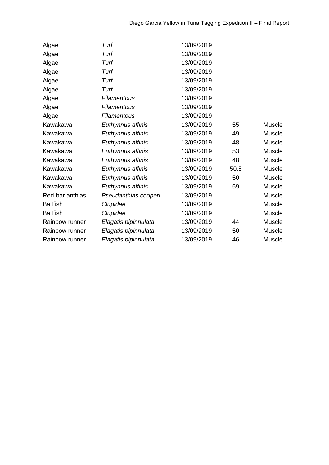| Algae           | Turf                 | 13/09/2019 |      |        |
|-----------------|----------------------|------------|------|--------|
| Algae           | Turf                 | 13/09/2019 |      |        |
| Algae           | Turf                 | 13/09/2019 |      |        |
| Algae           | Turf                 | 13/09/2019 |      |        |
| Algae           | Turf                 | 13/09/2019 |      |        |
| Algae           | Turf                 | 13/09/2019 |      |        |
| Algae           | Filamentous          | 13/09/2019 |      |        |
| Algae           | Filamentous          | 13/09/2019 |      |        |
| Algae           | Filamentous          | 13/09/2019 |      |        |
| Kawakawa        | Euthynnus affinis    | 13/09/2019 | 55   | Muscle |
| Kawakawa        | Euthynnus affinis    | 13/09/2019 | 49   | Muscle |
| Kawakawa        | Euthynnus affinis    | 13/09/2019 | 48   | Muscle |
| Kawakawa        | Euthynnus affinis    | 13/09/2019 | 53   | Muscle |
| Kawakawa        | Euthynnus affinis    | 13/09/2019 | 48   | Muscle |
| Kawakawa        | Euthynnus affinis    | 13/09/2019 | 50.5 | Muscle |
| Kawakawa        | Euthynnus affinis    | 13/09/2019 | 50   | Muscle |
| Kawakawa        | Euthynnus affinis    | 13/09/2019 | 59   | Muscle |
| Red-bar anthias | Pseudanthias cooperi | 13/09/2019 |      | Muscle |
| <b>Baitfish</b> | Clupidae             | 13/09/2019 |      | Muscle |
| <b>Baitfish</b> | Clupidae             | 13/09/2019 |      | Muscle |
| Rainbow runner  | Elagatis bipinnulata | 13/09/2019 | 44   | Muscle |
| Rainbow runner  | Elagatis bipinnulata | 13/09/2019 | 50   | Muscle |
| Rainbow runner  | Elagatis bipinnulata | 13/09/2019 | 46   | Muscle |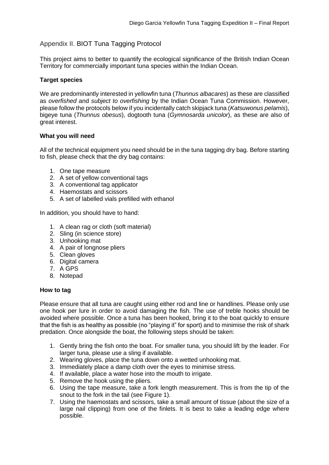## Appendix II. BIOT Tuna Tagging Protocol

This project aims to better to quantify the ecological significance of the British Indian Ocean Territory for commercially important tuna species within the Indian Ocean.

#### **Target species**

We are predominantly interested in yellowfin tuna (*Thunnus albacares*) as these are classified as *overfished* and *subject to overfishing* by the Indian Ocean Tuna Commission. However, please follow the protocols below if you incidentally catch skipjack tuna (*Katsuwonus pelamis*), bigeye tuna (*Thunnus obesus*), dogtooth tuna (*Gymnosarda unicolor*), as these are also of great interest.

#### **What you will need**

All of the technical equipment you need should be in the tuna tagging dry bag. Before starting to fish, please check that the dry bag contains:

- 1. One tape measure
- 2. A set of yellow conventional tags
- 3. A conventional tag applicator
- 4. Haemostats and scissors
- 5. A set of labelled vials prefilled with ethanol

In addition, you should have to hand:

- 1. A clean rag or cloth (soft material)
- 2. Sling (in science store)
- 3. Unhooking mat
- 4. A pair of longnose pliers
- 5. Clean gloves
- 6. Digital camera
- 7. A GPS
- 8. Notepad

#### **How to tag**

Please ensure that all tuna are caught using either rod and line or handlines. Please only use one hook per lure in order to avoid damaging the fish. The use of treble hooks should be avoided where possible. Once a tuna has been hooked, bring it to the boat quickly to ensure that the fish is as healthy as possible (no "playing it" for sport) and to minimise the risk of shark predation. Once alongside the boat, the following steps should be taken:

- 1. Gently bring the fish onto the boat. For smaller tuna, you should lift by the leader. For larger tuna, please use a sling if available.
- 2. Wearing gloves, place the tuna down onto a wetted unhooking mat.
- 3. Immediately place a damp cloth over the eyes to minimise stress.
- 4. If available, place a water hose into the mouth to irrigate.
- 5. Remove the hook using the pliers.
- 6. Using the tape measure, take a fork length measurement. This is from the tip of the snout to the fork in the tail (see Figure 1).
- 7. Using the haemostats and scissors, take a small amount of tissue (about the size of a large nail clipping) from one of the finlets. It is best to take a leading edge where possible.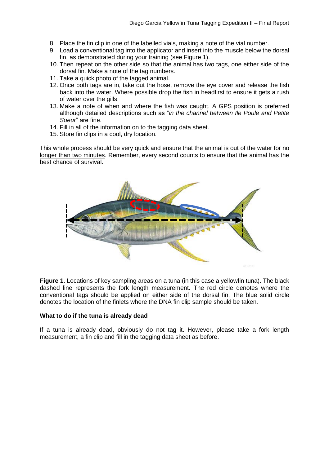- 8. Place the fin clip in one of the labelled vials, making a note of the vial number.
- 9. Load a conventional tag into the applicator and insert into the muscle below the dorsal fin, as demonstrated during your training (see Figure 1).
- 10. Then repeat on the other side so that the animal has two tags, one either side of the dorsal fin. Make a note of the tag numbers.
- 11. Take a quick photo of the tagged animal.
- 12. Once both tags are in, take out the hose, remove the eye cover and release the fish back into the water. Where possible drop the fish in headfirst to ensure it gets a rush of water over the gills.
- 13. Make a note of when and where the fish was caught. A GPS position is preferred although detailed descriptions such as "*in the channel between Ile Poule and Petite Soeur*" are fine.
- 14. Fill in all of the information on to the tagging data sheet.
- 15. Store fin clips in a cool, dry location.

This whole process should be very quick and ensure that the animal is out of the water for no longer than two minutes. Remember, every second counts to ensure that the animal has the best chance of survival.



**Figure 1.** Locations of key sampling areas on a tuna (in this case a yellowfin tuna). The black dashed line represents the fork length measurement. The red circle denotes where the conventional tags should be applied on either side of the dorsal fin. The blue solid circle denotes the location of the finlets where the DNA fin clip sample should be taken.

#### **What to do if the tuna is already dead**

If a tuna is already dead, obviously do not tag it. However, please take a fork length measurement, a fin clip and fill in the tagging data sheet as before.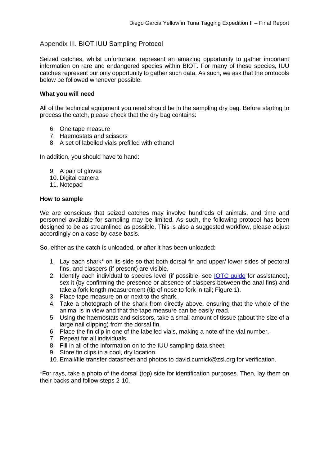## Appendix III. BIOT IUU Sampling Protocol

Seized catches, whilst unfortunate, represent an amazing opportunity to gather important information on rare and endangered species within BIOT. For many of these species, IUU catches represent our only opportunity to gather such data. As such, we ask that the protocols below be followed whenever possible.

#### **What you will need**

All of the technical equipment you need should be in the sampling dry bag. Before starting to process the catch, please check that the dry bag contains:

- 6. One tape measure
- 7. Haemostats and scissors
- 8. A set of labelled vials prefilled with ethanol

In addition, you should have to hand:

- 9. A pair of gloves
- 10. Digital camera
- 11. Notepad

#### **How to sample**

We are conscious that seized catches may involve hundreds of animals, and time and personnel available for sampling may be limited. As such, the following protocol has been designed to be as streamlined as possible. This is also a suggested workflow, please adjust accordingly on a case-by-case basis.

So, either as the catch is unloaded, or after it has been unloaded:

- 1. Lay each shark\* on its side so that both dorsal fin and upper/ lower sides of pectoral fins, and claspers (if present) are visible.
- 2. Identify each individual to species level (if possible, see IOTC quide for assistance), sex it (by confirming the presence or absence of claspers between the anal fins) and take a fork length measurement (tip of nose to fork in tail; Figure 1).
- 3. Place tape measure on or next to the shark.
- 4. Take a photograph of the shark from directly above, ensuring that the whole of the animal is in view and that the tape measure can be easily read.
- 5. Using the haemostats and scissors, take a small amount of tissue (about the size of a large nail clipping) from the dorsal fin.
- 6. Place the fin clip in one of the labelled vials, making a note of the vial number.
- 7. Repeat for all individuals.
- 8. Fill in all of the information on to the IUU sampling data sheet.
- 9. Store fin clips in a cool, dry location.
- 10. Email/file transfer datasheet and photos to david.curnick@zsl.org for verification.

\*For rays, take a photo of the dorsal (top) side for identification purposes. Then, lay them on their backs and follow steps 2-10.